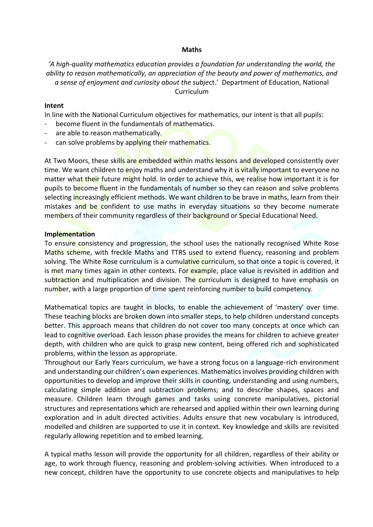## **Maths**

# *'A high-quality mathematics education provides a foundation for understanding the world, the ability to reason mathematically, an appreciation of the beauty and power of mathematics, and a sense of enjoyment and curiosity about the subje*ct.' Department of Education, National Curriculum

## **Intent**

In line with the National Curriculum objectives for mathematics, our intent is that all pupils:

- become fluent in the fundamentals of mathematics.
- are able to reason mathematically.
- can solve problems by applying their mathematics.

At Two Moors, these skills are embedded within maths lessons and developed consistently over time. We want children to enjoy maths and understand why it is vitally important to everyone no matter what their future might hold. In order to achieve this, we realise how important it is for pupils to become fluent in the fundamentals of number so they can reason and solve problems selecting increasingly efficient methods. We want children to be brave in maths, learn from their mistakes and be confident to use maths in everyday situations so they become numerate members of their community regardless of their background or Special Educational Need.

## **Implementation**

To ensure consistency and progression, the school uses the nationally recognised White Rose Maths scheme, with freckle Maths and TTRS used to extend fluency, reasoning and problem solving. The White Rose curriculum is a cumulative curriculum, so that once a topic is covered, it is met many times again in other contexts. For example, place value is revisited in addition and subtraction and multiplication and division. The curriculum is designed to have emphasis on number, with a large proportion of time spent reinforcing number to build competency.

Mathematical topics are taught in blocks, to enable the achievement of 'mastery' over time. These teaching blocks are broken down into smaller steps, to help children understand concepts better. This approach means that children do not cover too many concepts at once which can lead to cognitive overload. Each lesson phase provides the means for children to achieve greater depth, with children who are quick to grasp new content, being offered rich and sophisticated problems, within the lesson as appropriate.

Throughout our Early Years curriculum, we have a strong focus on a language-rich environment and understanding our children's own experiences. Mathematics involves providing children with opportunities to develop and improve their skills in counting, understanding and using numbers, calculating simple addition and subtraction problems; and to describe shapes, spaces and measure. Children learn through games and tasks using concrete manipulatives, pictorial structures and representations which are rehearsed and applied within their own learning during exploration and in adult directed activities. Adults ensure that new vocabulary is introduced, modelled and children are supported to use it in context. Key knowledge and skills are revisited regularly allowing repetition and to embed learning.

A typical maths lesson will provide the opportunity for all children, regardless of their ability or age, to work through fluency, reasoning and problem-solving activities. When introduced to a new concept, children have the opportunity to use concrete objects and manipulatives to help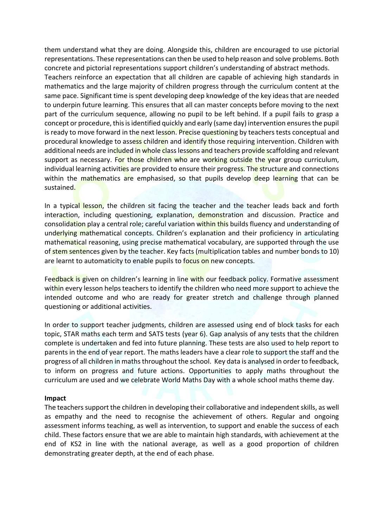them understand what they are doing. Alongside this, children are encouraged to use pictorial representations. These representations can then be used to help reason and solve problems. Both concrete and pictorial representations support children's understanding of abstract methods. Teachers reinforce an expectation that all children are capable of achieving high standards in mathematics and the large majority of children progress through the curriculum content at the same pace. Significant time is spent developing deep knowledge of the key ideas that are needed to underpin future learning. This ensures that all can master concepts before moving to the next part of the curriculum sequence, allowing no pupil to be left behind. If a pupil fails to grasp a concept or procedure, this is identified quickly and early (same day) intervention ensures the pupil is ready to move forward in the next lesson. Precise questioning by teachers tests conceptual and procedural knowledge to assess children and identify those requiring intervention. Children with additional needs are included in whole class lessons and teachers provide scaffolding and relevant support as necessary. For those children who are working outside the year group curriculum, individual learning activities are provided to ensure their progress. The structure and connections within the mathematics are emphasised, so that pupils develop deep learning that can be sustained.

In a typical lesson, the children sit facing the teacher and the teacher leads back and forth interaction, including questioning, explanation, demonstration and discussion. Practice and consolidation play a central role; careful variation within this builds fluency and understanding of underlying mathematical concepts. Children's explanation and their proficiency in articulating mathematical reasoning, using precise mathematical vocabulary, are supported through the use of stem sentences given by the teacher. Key facts (multiplication tables and number bonds to 10) are learnt to automaticity to enable pupils to focus on new concepts.

Feedback is given on children's learning in line with our feedback policy. Formative assessment within every lesson helps teachers to identify the children who need more support to achieve the intended outcome and who are ready for greater stretch and challenge through planned questioning or additional activities.

In order to support teacher judgments, children are assessed using end of block tasks for each topic, STAR maths each term and SATS tests (year 6). Gap analysis of any tests that the children complete is undertaken and fed into future planning. These tests are also used to help report to parents in the end of year report. The maths leaders have a clear role to support the staff and the progress of all children in maths throughout the school. Key data is analysed in order to feedback, to inform on progress and future actions. Opportunities to apply maths throughout the curriculum are used and we celebrate World Maths Day with a whole school maths theme day.

#### **Impact**

The teachers support the children in developing their collaborative and independent skills, as well as empathy and the need to recognise the achievement of others. Regular and ongoing assessment informs teaching, as well as intervention, to support and enable the success of each child. These factors ensure that we are able to maintain high standards, with achievement at the end of KS2 in line with the national average, as well as a good proportion of children demonstrating greater depth, at the end of each phase.